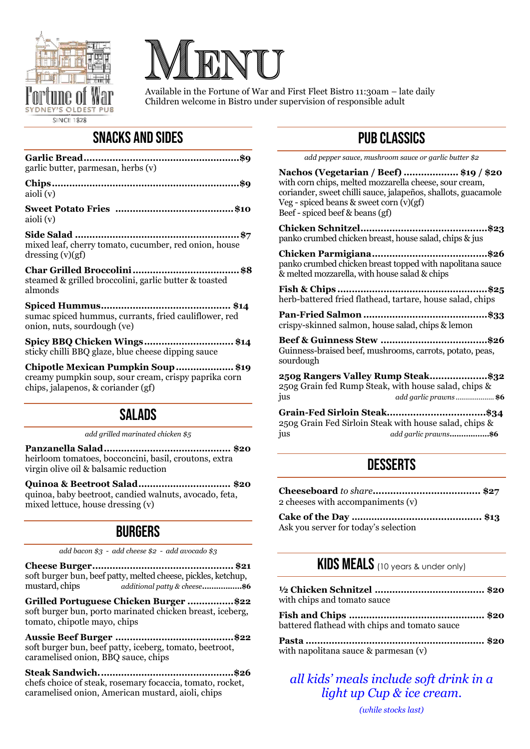



Available in the Fortune of War and First Fleet Bistro 11:30am – late daily Children welcome in Bistro under supervision of responsible adult

### SNACKS AND SIDES

| garlic butter, parmesan, herbs (v)                                                                                                                   |
|------------------------------------------------------------------------------------------------------------------------------------------------------|
| aioli (v)                                                                                                                                            |
| aioli (v)                                                                                                                                            |
| mixed leaf, cherry tomato, cucumber, red onion, house<br>dressing $(v)(gf)$                                                                          |
| steamed & grilled broccolini, garlic butter & toasted<br>almonds                                                                                     |
| sumac spiced hummus, currants, fried cauliflower, red<br>onion, nuts, sourdough (ve)                                                                 |
| Spicy BBQ Chicken Wings\$14<br>sticky chilli BBQ glaze, blue cheese dipping sauce                                                                    |
| Chipotle Mexican Pumpkin Soup\$19<br>the contract of the contract of the contract of the contract of the contract of the contract of the contract of |

creamy pumpkin soup, sour cream, crispy paprika corn chips, jalapenos, & coriander (gf)

### SALADS

*add grilled marinated chicken \$5*

**Panzanella Salad............................................ \$20** heirloom tomatoes, bocconcini, basil, croutons, extra virgin olive oil & balsamic reduction

**Quinoa & Beetroot Salad................................ \$20** quinoa, baby beetroot, candied walnuts, avocado, feta, mixed lettuce, house dressing (v)

### **BURGERS**

*add bacon \$3 - add cheese \$2 - add avocado \$3*

**Cheese Burger................................................. \$21** soft burger bun, beef patty, melted cheese, pickles, ketchup, mustard, chips *additional patty & cheese***.................\$6**

**Grilled Portuguese Chicken Burger ................\$22** soft burger bun, porto marinated chicken breast, iceberg, tomato, chipotle mayo, chips

**Aussie Beef Burger .........................................\$22** soft burger bun, beef patty, iceberg, tomato, beetroot, caramelised onion, BBQ sauce, chips

**Steak Sandwich...............................................\$26** chefs choice of steak, rosemary focaccia, tomato, rocket, caramelised onion, American mustard, aioli, chips

# PUB CLASSICS

*add pepper sauce, mushroom sauce or garlic butter \$2*

**Nachos (Vegetarian / Beef) ................... \$19 / \$20** with corn chips, melted mozzarella cheese, sour cream, coriander, sweet chilli sauce, jalapeños, shallots, guacamole Veg - spiced beans & sweet corn (v)(gf) Beef - spiced beef & beans (gf)

**Chicken Schnitzel............................................\$23** panko crumbed chicken breast, house salad, chips & jus

**Chicken Parmigiana........................................\$26** panko crumbed chicken breast topped with napolitana sauce & melted mozzarella, with house salad & chips

**Fish & Chips ....................................................\$25** herb-battered fried flathead, tartare, house salad, chips

**Pan-Fried Salmon ...........................................\$33** crispy-skinned salmon, house salad, chips & lemon

**Beef & Guinness Stew .....................................\$26** Guinness-braised beef, mushrooms, carrots, potato, peas, sourdough

**250g Rangers Valley Rump Steak....................\$32** 250g Grain fed Rump Steak, with house salad, chips & jus *add garlic prawns* .................... **\$6**

**Grain-Fed Sirloin Steak..................................\$34** 250g Grain Fed Sirloin Steak with house salad, chips & jus *add garlic prawns***.................\$6**

# **DESSERTS**

| 2 cheeses with accompaniments (v) |     |
|-----------------------------------|-----|
| Calzo of the Day                  | 410 |

**Cake of the Day ….……................................... \$13** Ask you server for today's selection

### KIDS MEALS (10 years & under only)

| with chips and tomato sauce                   |  |
|-----------------------------------------------|--|
| battered flathead with chips and tomato sauce |  |
|                                               |  |

with napolitana sauce & parmesan (v)

### *all kids' meals include soft drink in a light up Cup & ice cream.*

*(while stocks last)*